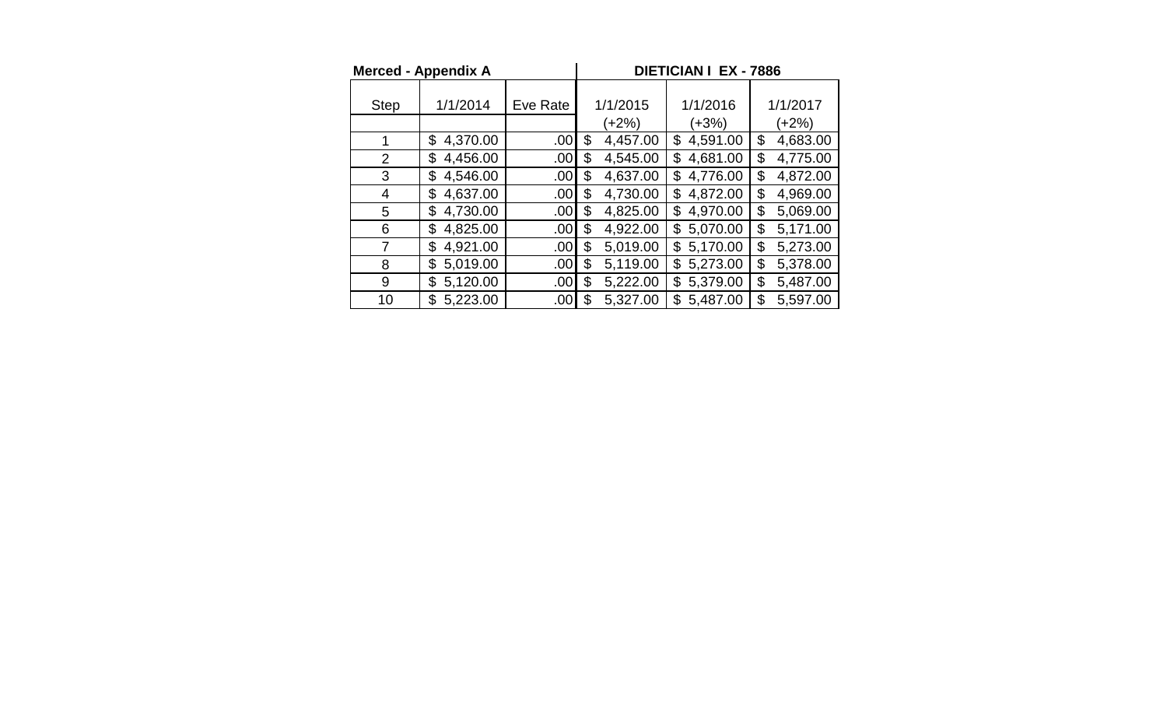| <b>Merced - Appendix A</b> |                |                  |          | <b>DIETICIAN I EX - 7886</b> |                |          |          |  |  |  |
|----------------------------|----------------|------------------|----------|------------------------------|----------------|----------|----------|--|--|--|
| <b>Step</b>                | 1/1/2014       | Eve Rate         | 1/1/2015 |                              | 1/1/2016       | 1/1/2017 |          |  |  |  |
|                            |                |                  |          | (+2%)                        | (+3%)          | (+2%)    |          |  |  |  |
| 1                          | \$<br>4,370.00 | .00 <sub>l</sub> | \$       | 4,457.00                     | 4,591.00<br>\$ | \$       | 4,683.00 |  |  |  |
| $\overline{2}$             | 4,456.00<br>\$ | .00 <sub>1</sub> | \$       | 4,545.00                     | 4,681.00<br>\$ | \$       | 4,775.00 |  |  |  |
| 3                          | 4,546.00<br>\$ | .00 <sub>l</sub> | \$       | 4,637.00                     | 4,776.00<br>\$ | \$       | 4,872.00 |  |  |  |
| 4                          | 4,637.00<br>\$ | .00 <sub>l</sub> | \$       | 4,730.00                     | 4,872.00<br>\$ | \$       | 4,969.00 |  |  |  |
| 5                          | 4,730.00<br>\$ | .00 <sub>l</sub> | \$       | 4,825.00                     | 4,970.00<br>\$ | \$       | 5,069.00 |  |  |  |
| 6                          | 4,825.00<br>\$ | .00 <sub>l</sub> | \$       | 4,922.00                     | 5,070.00<br>\$ | \$       | 5,171.00 |  |  |  |
| 7                          | 4,921.00<br>\$ | .00              | \$       | 5,019.00                     | 5,170.00<br>\$ | \$       | 5,273.00 |  |  |  |
| 8                          | 5,019.00<br>\$ | .00 <sub>1</sub> | \$       | 5,119.00                     | 5,273.00<br>\$ | \$       | 5,378.00 |  |  |  |
| 9                          | 5,120.00<br>\$ | .00 <sub>1</sub> | \$       | 5,222.00                     | 5,379.00<br>\$ | \$       | 5,487.00 |  |  |  |
| 10                         | 5,223.00<br>\$ | .00I             | \$       | 5,327.00                     | 5,487.00<br>\$ | \$       | 5,597.00 |  |  |  |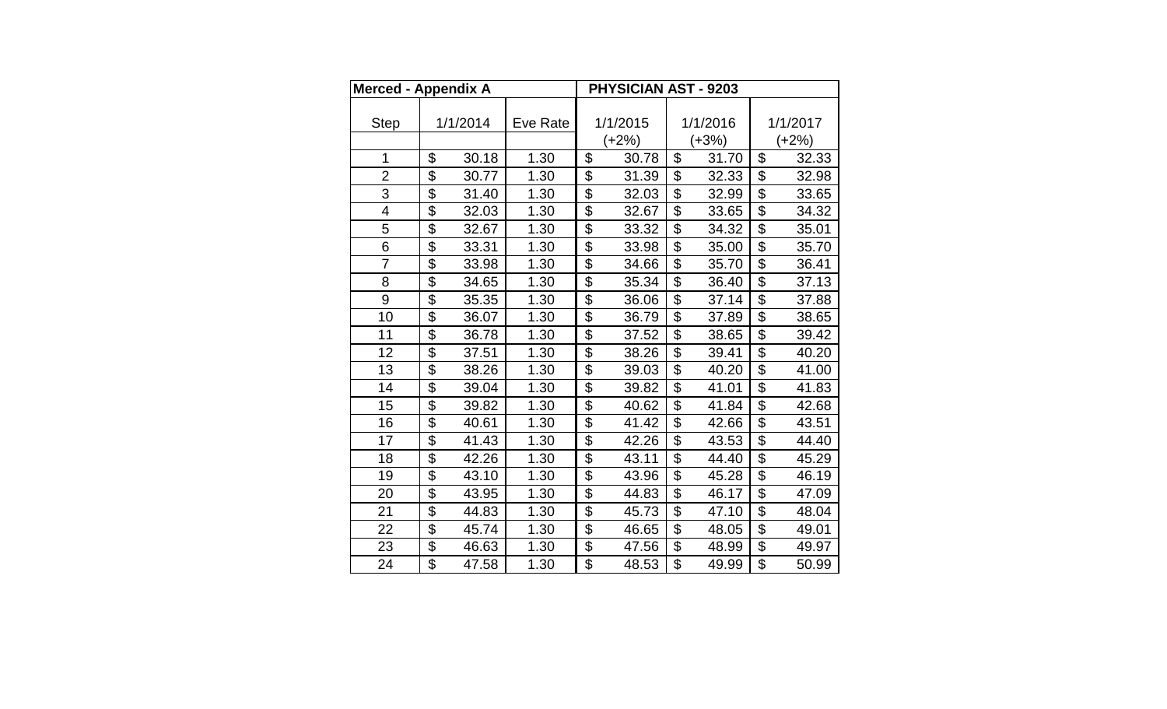| Merced - Appendix A     |                           |          |          | PHYSICIAN AST - 9203      |       |                           |       |                           |       |  |
|-------------------------|---------------------------|----------|----------|---------------------------|-------|---------------------------|-------|---------------------------|-------|--|
|                         |                           |          |          |                           |       |                           |       |                           |       |  |
| <b>Step</b>             |                           | 1/1/2014 | Eve Rate | 1/1/2015                  |       | 1/1/2016                  |       | 1/1/2017                  |       |  |
|                         |                           |          |          | $(+2%)$                   |       | $(+3%)$                   |       | $(+2%)$                   |       |  |
| 1                       | \$                        | 30.18    | 1.30     | \$                        | 30.78 | \$                        | 31.70 | \$                        | 32.33 |  |
| $\overline{2}$          | $\overline{\mathfrak{s}}$ | 30.77    | 1.30     | $\overline{\mathcal{S}}$  | 31.39 | $\overline{\mathcal{S}}$  | 32.33 | $\overline{\mathcal{S}}$  | 32.98 |  |
| 3                       | \$                        | 31.40    | 1.30     | \$                        | 32.03 | \$                        | 32.99 | \$                        | 33.65 |  |
| $\overline{\mathbf{4}}$ | $\overline{\$}$           | 32.03    | 1.30     | \$                        | 32.67 | $\overline{\$}$           | 33.65 | $\overline{\$}$           | 34.32 |  |
| 5                       | $\overline{\$}$           | 32.67    | 1.30     | $\overline{\mathfrak{s}}$ | 33.32 | $\overline{\$}$           | 34.32 | $\overline{\mathfrak{s}}$ | 35.01 |  |
| 6                       | \$                        | 33.31    | 1.30     | \$                        | 33.98 | \$                        | 35.00 | \$                        | 35.70 |  |
| $\overline{7}$          | $\overline{\mathfrak{s}}$ | 33.98    | 1.30     | \$                        | 34.66 | \$                        | 35.70 | $\mathfrak{S}$            | 36.41 |  |
| 8                       | $\overline{\$}$           | 34.65    | 1.30     | $\overline{\mathcal{S}}$  | 35.34 | $\overline{\$}$           | 36.40 | $\overline{\$}$           | 37.13 |  |
| 9                       | \$                        | 35.35    | 1.30     | \$                        | 36.06 | \$                        | 37.14 | \$                        | 37.88 |  |
| 10                      | \$                        | 36.07    | 1.30     | \$                        | 36.79 | \$                        | 37.89 | \$                        | 38.65 |  |
| 11                      | $\overline{\$}$           | 36.78    | 1.30     | $\overline{\mathcal{S}}$  | 37.52 | $\overline{\$}$           | 38.65 | $\overline{\mathfrak{s}}$ | 39.42 |  |
| 12                      | \$                        | 37.51    | 1.30     | \$                        | 38.26 | \$                        | 39.41 | \$                        | 40.20 |  |
| 13                      | \$                        | 38.26    | 1.30     | \$                        | 39.03 | \$                        | 40.20 | \$                        | 41.00 |  |
| 14                      | $\overline{\$}$           | 39.04    | 1.30     | $\overline{\$}$           | 39.82 | $\overline{\$}$           | 41.01 | $\overline{\$}$           | 41.83 |  |
| 15                      | \$                        | 39.82    | 1.30     | \$                        | 40.62 | \$                        | 41.84 | \$                        | 42.68 |  |
| 16                      | $\overline{\mathfrak{s}}$ | 40.61    | 1.30     | \$                        | 41.42 | $\overline{\mathcal{S}}$  | 42.66 | $\overline{\mathfrak{s}}$ | 43.51 |  |
| 17                      | $\overline{\$}$           | 41.43    | 1.30     | $\overline{\$}$           | 42.26 | $\overline{\$}$           | 43.53 | $\overline{\$}$           | 44.40 |  |
| 18                      | \$                        | 42.26    | 1.30     | \$                        | 43.11 | \$                        | 44.40 | \$                        | 45.29 |  |
| 19                      | \$                        | 43.10    | 1.30     | \$                        | 43.96 | \$                        | 45.28 | \$                        | 46.19 |  |
| 20                      | $\overline{\$}$           | 43.95    | 1.30     | \$                        | 44.83 | $\overline{\$}$           | 46.17 | $\mathfrak{S}$            | 47.09 |  |
| 21                      | \$                        | 44.83    | 1.30     | \$                        | 45.73 | \$                        | 47.10 | \$                        | 48.04 |  |
| 22                      | \$                        | 45.74    | 1.30     | \$                        | 46.65 | \$                        | 48.05 | \$                        | 49.01 |  |
| 23                      | $\overline{\$}$           | 46.63    | 1.30     | $\overline{\mathfrak{s}}$ | 47.56 | $\overline{\mathfrak{s}}$ | 48.99 | $\overline{\mathcal{S}}$  | 49.97 |  |
| 24                      | $\overline{\$}$           | 47.58    | 1.30     | $\overline{\mathfrak{s}}$ | 48.53 | $\overline{\mathfrak{s}}$ | 49.99 | $\overline{\mathcal{S}}$  | 50.99 |  |